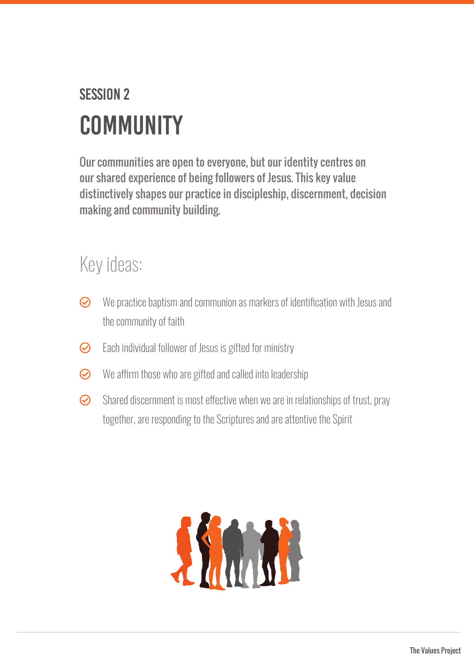## **SESSION 2 COMMUNITY**

Our communities are open to everyone, but our identity centres on our shared experience of being followers of Jesus. This key value distinctively shapes our practice in discipleship, discernment, decision making and community building.

## Key ideas:

- $\odot$  We practice baptism and communion as markers of identification with Jesus and the community of faith
- $\odot$  Each individual follower of Jesus is gifted for ministry
- $\odot$  We affirm those who are gifted and called into leadership
- $\odot$  Shared discernment is most effective when we are in relationships of trust, pray together, are responding to the Scriptures and are attentive the Spirit